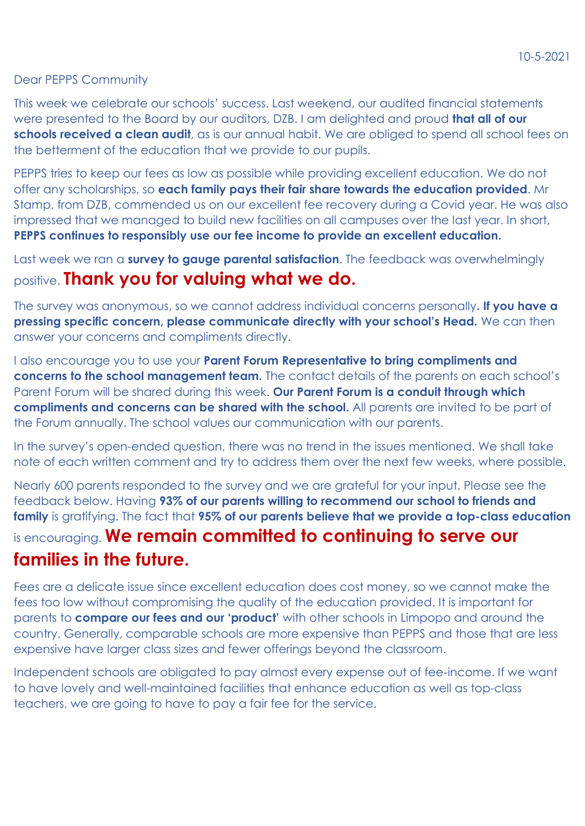## Dear PEPPS Community

This week we celebrate our schools' success. Last weekend, our audited financial statements were presented to the Board by our auditors, DZB. I am delighted and proud **that all of our schools received a clean audit**, as is our annual habit. We are obliged to spend all school fees on the betterment of the education that we provide to our pupils.

PEPPS tries to keep our fees as low as possible while providing excellent education. We do not offer any scholarships, so **each family pays their fair share towards the education provided**. Mr Stamp, from DZB, commended us on our excellent fee recovery during a Covid year. He was also impressed that we managed to build new facilities on all campuses over the last year. In short, **PEPPS continues to responsibly use our fee income to provide an excellent education.**

Last week we ran a **survey to gauge parental satisfaction**. The feedback was overwhelmingly positive. **Thank you for valuing what we do.**

The survey was anonymous, so we cannot address individual concerns personally**. If you have a pressing specific concern, please communicate directly with your school's Head.** We can then answer your concerns and compliments directly.

I also encourage you to use your **Parent Forum Representative to bring compliments and concerns to the school management team.** The contact details of the parents on each school's Parent Forum will be shared during this week. **Our Parent Forum is a conduit through which compliments and concerns can be shared with the school.** All parents are invited to be part of the Forum annually. The school values our communication with our parents.

In the survey's open-ended question, there was no trend in the issues mentioned. We shall take note of each written comment and try to address them over the next few weeks, where possible.

Nearly 600 parents responded to the survey and we are grateful for your input. Please see the feedback below. Having **93% of our parents willing to recommend our school to friends and family** is gratifying. The fact that **95% of our parents believe that we provide a top-class education** is encouraging. **We remain committed to continuing to serve our families in the future.**

Fees are a delicate issue since excellent education does cost money, so we cannot make the fees too low without compromising the quality of the education provided. It is important for parents to **compare our fees and our 'product'** with other schools in Limpopo and around the country. Generally, comparable schools are more expensive than PEPPS and those that are less expensive have larger class sizes and fewer offerings beyond the classroom.

Independent schools are obligated to pay almost every expense out of fee-income. If we want to have lovely and well-maintained facilities that enhance education as well as top-class teachers, we are going to have to pay a fair fee for the service.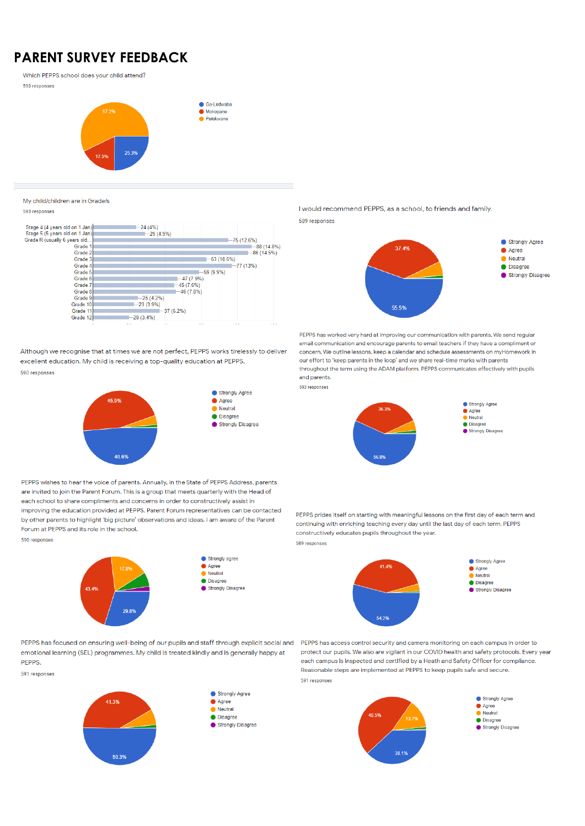## **PARENT SURVEY FEEDBACK**

Which PEPPS school does your child attend?

593 responses



My child/children are in Grade/s

593 responses

| Stage 4 (4 years old on 1 Jan) | $-24(4%)$   |             |              |              |
|--------------------------------|-------------|-------------|--------------|--------------|
| Stage 5 (5 years old on 1 Jan) | $-29(4.9%)$ |             |              |              |
| Grade R (usually 6 years old   |             |             |              | $-75(12.6%)$ |
| Grade 1                        |             |             |              | $-88(14.8%)$ |
| Grade 2                        |             |             |              | $-86(14.5%)$ |
| Grade 3                        |             |             | $-63(10.6%)$ |              |
| Grade 4                        |             |             |              | $-77(13%)$   |
| Grade 5                        |             |             | $-59(9.9%)$  |              |
| Grade 6                        |             | $-47(7.9%)$ |              |              |
| Grade 7                        |             | $-45(7.6%)$ |              |              |
| Grade 8                        |             | $-46(7.8%)$ |              |              |
| Grade 9                        | $-25(4.2%)$ |             |              |              |
| Grade 10                       | $-23(3.9%)$ |             |              |              |
| Grade 11                       |             | $-37(6.2%)$ |              |              |
| Grade 12                       | $-20(3.4%)$ |             |              |              |
|                                | - -<br>     | --          |              | - -<br>.     |

Although we recognise that at times we are not perfect. PEPPS works tirelessly to deliver excellent education. My child is receiving a top-quality education at PEPPS. 590 responses



I would recommend PEPPS, as a school, to friends and family. 589 responses



PEPPS has worked very hard at improving our communication with parents. We send regular email communication and encourage parents to email teachers if they have a compliment or concern. We outline lessons, keep a calendar and schedule assessments on myHomework in our effort to 'keep parents in the loop' and we share real-time marks with parents throughout the term using the ADAM platform. PEPPS communicates effectively with pupils and parents.





PEPPS wishes to hear the voice of parents. Annually, in the State of PEPPS Address, parents are invited to join the Parent Forum. This is a group that meets quarterly with the Head of each school to share compliments and concerns in order to constructively assist in improving the education provided at PEPPS. Parent Forum representatives can be contacted by other parents to highlight 'big picture' observations and ideas. I am aware of the Parent Forum at PEPPS and its role in the school.

590 responses



Strongly agree Agree  $\bullet$  Neutral · Disagree Strongly Disagree

PEPPS prides itself on starting with meaningful lessons on the first day of each term and continuing with enriching teaching every day until the last day of each term. PEPPS constructively educates pupils throughout the year. 589 responses



PEPPS has focused on ensuring well-being of our pupils and staff through explicit social and PEPPS has access control security and camera monitoring on each campus in order to emotional learning (SEL) programmes. My child is treated kindly and is generally happy at PEPPS.

591 responses





Strongly Disagree

protect our pupils. We also are vigilant in our COVID health and safety protocols. Every year each campus is inspected and certified by a Heath and Safety Officer for compliance. Reasonable steps are implemented at PEPPS to keep pupils safe and secure. 591 responses